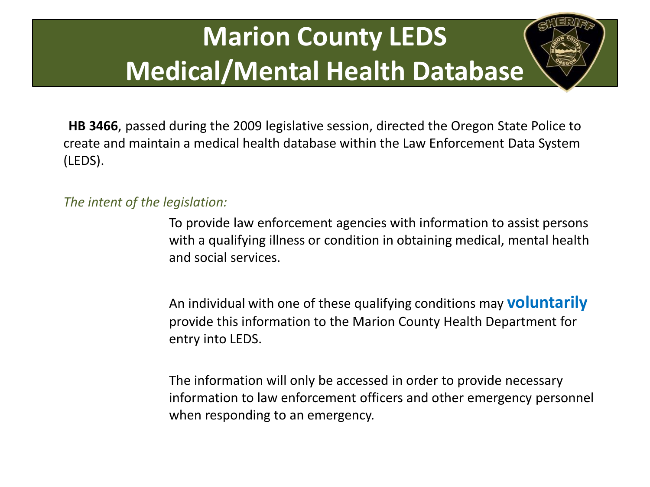**HB 3466**, passed during the 2009 legislative session, directed the Oregon State Police to create and maintain a medical health database within the Law Enforcement Data System (LEDS).

*The intent of the legislation:* 

To provide law enforcement agencies with information to assist persons with a qualifying illness or condition in obtaining medical, mental health and social services.

An individual with one of these qualifying conditions may **voluntarily**  provide this information to the Marion County Health Department for entry into LEDS.

The information will only be accessed in order to provide necessary information to law enforcement officers and other emergency personnel when responding to an emergency.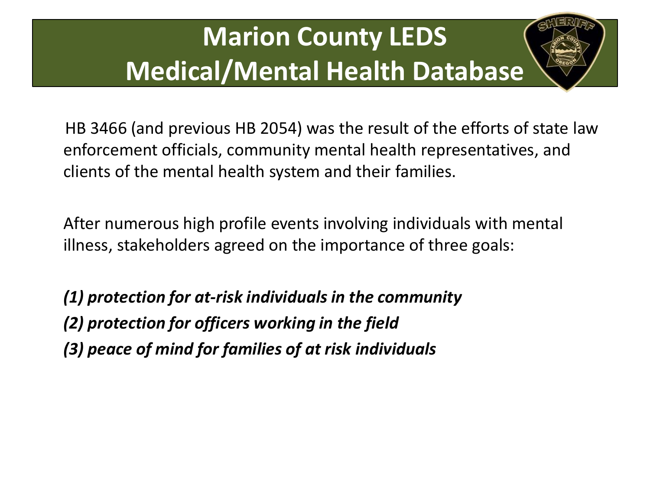

After numerous high profile events involving individuals with mental illness, stakeholders agreed on the importance of three goals:

*(1) protection for at-risk individuals in the community (2) protection for officers working in the field (3) peace of mind for families of at risk individuals*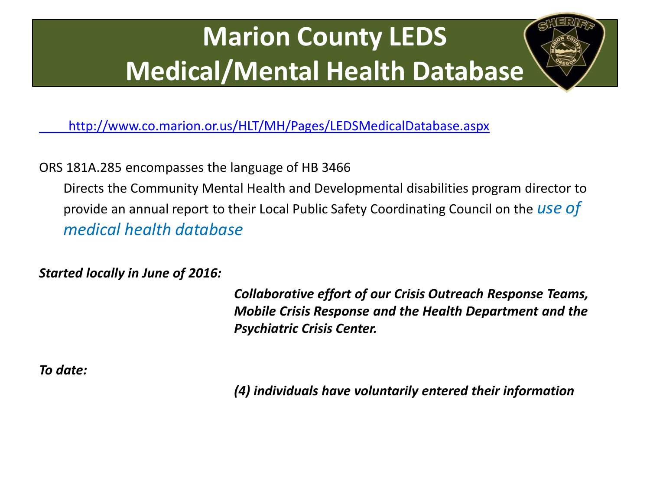

ORS 181A.285 encompasses the language of HB 3466

Directs the Community Mental Health and Developmental disabilities program director to provide an annual report to their Local Public Safety Coordinating Council on the *use of medical health database*

*Started locally in June of 2016:* 

*Collaborative effort of our Crisis Outreach Response Teams, Mobile Crisis Response and the Health Department and the Psychiatric Crisis Center.*

*To date:* 

*(4) individuals have voluntarily entered their information*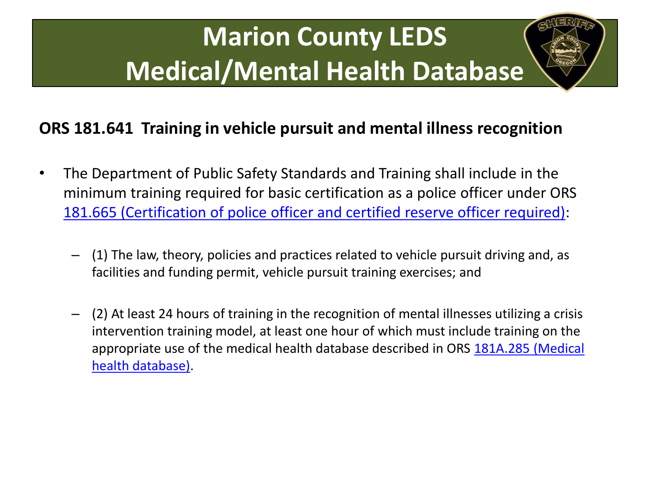#### **ORS 181.641 Training in vehicle pursuit and mental illness recognition**

- The Department of Public Safety Standards and Training shall include in the minimum training required for basic certification as a police officer under ORS [181.665 \(Certification of police officer and certified reserve officer required\)](https://www.oregonlaws.org/ors/2013/181.665):
	- (1) The law, theory, policies and practices related to vehicle pursuit driving and, as facilities and funding permit, vehicle pursuit training exercises; and
	- (2) At least 24 hours of training in the recognition of mental illnesses utilizing a crisis intervention training model, at least one hour of which must include training on the appropriate use of the medical health database described in ORS [181A.285 \(Medical](https://www.oregonlaws.org/ors/2013/181.735)  [health database\).](https://www.oregonlaws.org/ors/2013/181.735)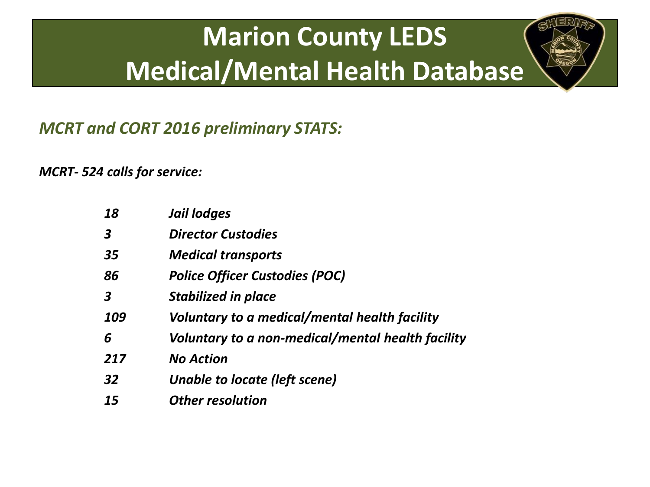*MCRT and CORT 2016 preliminary STATS:*

*MCRT- 524 calls for service:*

| 18               | Jail lodges                                       |
|------------------|---------------------------------------------------|
| $\boldsymbol{3}$ | <b>Director Custodies</b>                         |
| 35               | <b>Medical transports</b>                         |
| 86               | <b>Police Officer Custodies (POC)</b>             |
| 3                | <b>Stabilized in place</b>                        |
| 109              | Voluntary to a medical/mental health facility     |
| 6                | Voluntary to a non-medical/mental health facility |
| 217              | <b>No Action</b>                                  |
| 32               | Unable to locate (left scene)                     |
| 15               | <b>Other resolution</b>                           |